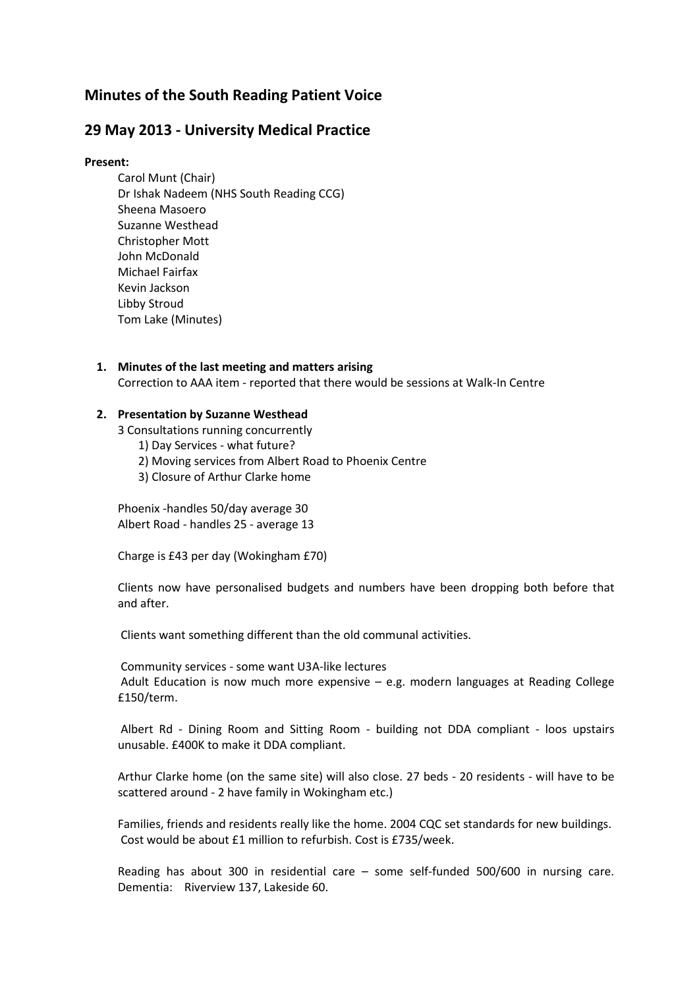# **Minutes of the South Reading Patient Voice**

# **29 May 2013 - University Medical Practice**

#### **Present:**

- Carol Munt (Chair) Dr Ishak Nadeem (NHS South Reading CCG) Sheena Masoero Suzanne Westhead Christopher Mott John McDonald Michael Fairfax Kevin Jackson Libby Stroud Tom Lake (Minutes)
- **1. Minutes of the last meeting and matters arising** Correction to AAA item - reported that there would be sessions at Walk-In Centre

#### **2. Presentation by Suzanne Westhead**

- 3 Consultations running concurrently
	- 1) Day Services what future?
	- 2) Moving services from Albert Road to Phoenix Centre
	- 3) Closure of Arthur Clarke home

Phoenix -handles 50/day average 30 Albert Road - handles 25 - average 13

Charge is £43 per day (Wokingham £70)

Clients now have personalised budgets and numbers have been dropping both before that and after.

Clients want something different than the old communal activities.

Community services - some want U3A-like lectures Adult Education is now much more expensive – e.g. modern languages at Reading College £150/term.

Albert Rd - Dining Room and Sitting Room - building not DDA compliant - loos upstairs unusable. £400K to make it DDA compliant.

Arthur Clarke home (on the same site) will also close. 27 beds - 20 residents - will have to be scattered around - 2 have family in Wokingham etc.)

Families, friends and residents really like the home. 2004 CQC set standards for new buildings. Cost would be about £1 million to refurbish. Cost is £735/week.

Reading has about 300 in residential care – some self-funded 500/600 in nursing care. Dementia: Riverview 137, Lakeside 60.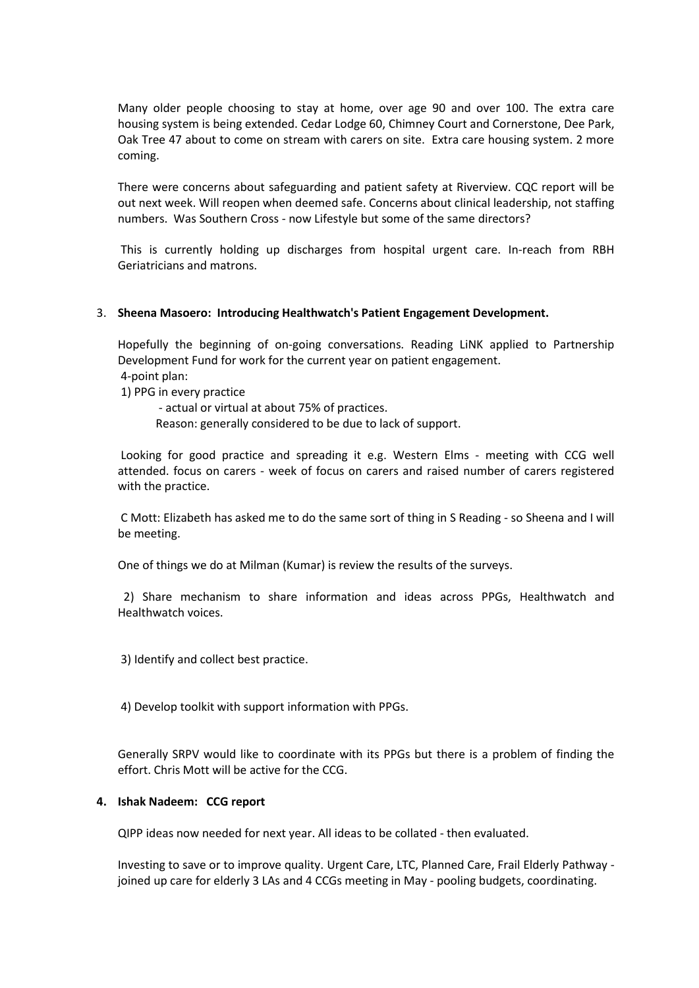Many older people choosing to stay at home, over age 90 and over 100. The extra care housing system is being extended. Cedar Lodge 60, Chimney Court and Cornerstone, Dee Park, Oak Tree 47 about to come on stream with carers on site. Extra care housing system. 2 more coming.

There were concerns about safeguarding and patient safety at Riverview. CQC report will be out next week. Will reopen when deemed safe. Concerns about clinical leadership, not staffing numbers. Was Southern Cross - now Lifestyle but some of the same directors?

This is currently holding up discharges from hospital urgent care. In-reach from RBH Geriatricians and matrons.

## 3. **Sheena Masoero: Introducing Healthwatch's Patient Engagement Development.**

Hopefully the beginning of on-going conversations. Reading LiNK applied to Partnership Development Fund for work for the current year on patient engagement. 4-point plan:

1) PPG in every practice

- actual or virtual at about 75% of practices.

Reason: generally considered to be due to lack of support.

Looking for good practice and spreading it e.g. Western Elms - meeting with CCG well attended. focus on carers - week of focus on carers and raised number of carers registered with the practice.

C Mott: Elizabeth has asked me to do the same sort of thing in S Reading - so Sheena and I will be meeting.

One of things we do at Milman (Kumar) is review the results of the surveys.

 2) Share mechanism to share information and ideas across PPGs, Healthwatch and Healthwatch voices.

3) Identify and collect best practice.

4) Develop toolkit with support information with PPGs.

Generally SRPV would like to coordinate with its PPGs but there is a problem of finding the effort. Chris Mott will be active for the CCG.

## **4. Ishak Nadeem: CCG report**

QIPP ideas now needed for next year. All ideas to be collated - then evaluated.

Investing to save or to improve quality. Urgent Care, LTC, Planned Care, Frail Elderly Pathway joined up care for elderly 3 LAs and 4 CCGs meeting in May - pooling budgets, coordinating.